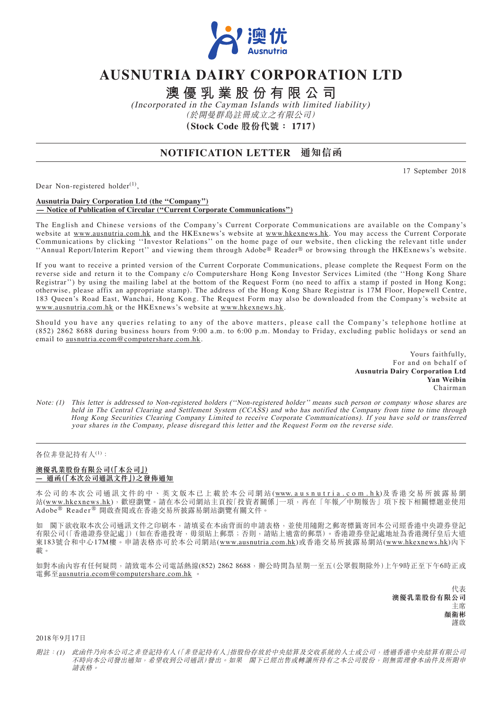

# **AUSNUTRIA DAIRY CORPORATION LTD**

**澳優乳業股份有限公司**

(Incorporated in the Cayman Islands with limited liability) (於開曼群島註冊成立之有限公司) **(Stock Code 股份代號: 1717)**

## **NOTIFICATION LETTER 通知信函**

17 September 2018

Dear Non-registered holder $^{(1)}$ ,

#### **Ausnutria Dairy Corporation Ltd (the ''Company'') — Notice of Publication of Circular (''Current Corporate Communications'')**

The English and Chinese versions of the Company's Current Corporate Communications are available on the Company's website at www.ausnutria.com.hk and the HKExnews's website at www.hkexnews.hk. You may access the Current Corporate Communications by clicking ''Investor Relations'' on the home page of our website, then clicking the relevant title under ''Annual Report/Interim Report'' and viewing them through Adobe® Reader® or browsing through the HKExnews's website.

If you want to receive a printed version of the Current Corporate Communications, please complete the Request Form on the reverse side and return it to the Company c/o Computershare Hong Kong Investor Services Limited (the ''Hong Kong Share Registrar'') by using the mailing label at the bottom of the Request Form (no need to affix a stamp if posted in Hong Kong; otherwise, please affix an appropriate stamp). The address of the Hong Kong Share Registrar is 17M Floor, Hopewell Centre, 183 Queen's Road East, Wanchai, Hong Kong. The Request Form may also be downloaded from the Company's website at www.ausnutria.com.hk or the HKExnews's website at www.hkexnews.hk.

Should you have any queries relating to any of the above matters, please call the Company's telephone hotline at (852) 2862 8688 during business hours from 9:00 a.m. to 6:00 p.m. Monday to Friday, excluding public holidays or send an email to ausnutria.ecom@computershare.com.hk.

> Yours faithfully, For and on behalf of **Ausnutria Dairy Corporation Ltd Yan Weibin** Chairman

Note: (1) This letter is addressed to Non-registered holders (''Non-registered holder'' means such person or company whose shares are held in The Central Clearing and Settlement System (CCASS) and who has notified the Company from time to time through Hong Kong Securities Clearing Company Limited to receive Corporate Communications). If you have sold or transferred your shares in the Company, please disregard this letter and the Request Form on the reverse side.

### 各位非登記持有人(1):

#### **澳優乳業股份有限公司(「本公司」) — 通函(「本次公司通訊文件」)之發佈通知**

本公司的本次公司通訊文件的中、英文版本已上載於本公司網站(www.ausnutria.com.hk)及香港交易所披露易網 站(www.hkexnews.hk),歡迎瀏覽。請在本公司網站主頁按「投資者關係」一項,再在「年報/中期報告」項下按下相關標題並使用 Adobe® Reader ® 開啟查閱或在香港交易所披露易網站瀏覽有關文件。

如 閣下欲收取本次公司通訊文件之印刷本,請填妥在本函背面的申請表格,並使用隨附之郵寄標籤寄回本公司經香港中央證券登記 有限公司(「香港證券登記處」)(如在香港投寄,毋須貼上郵票;否則,請貼上適當的郵票)。香港證券登記處地址為香港灣仔皇后大道 東183號合和中心17M樓。申請表格亦可於本公司網站(www.ausnutria.com.hk)或香港交易所披露易網站(www.hkexnews.hk)內下 載。

如對本函內容有任何疑問,請致電本公司電話熱線(852) 2862 8688,辦公時間為星期一至五(公眾假期除外)上午9時正至下午6時正或 電郵至<u>ausnutria.ecom@computershare.com.hk</u>

> 代表 **澳優乳業股份有限公司** 主席 **顏衛彬** 謹啟

2018 年9月17日

附註:(1) 此函件乃向本公司之非登記持有人(「非登記持有人」指股份存放於中央結算及交收系統的人士或公司,透過香港中央結算有限公司 不時向本公司發出通知,希望收到公司通訊)發出。如果 閣下已經出售或轉讓所持有之本公司股份,則無需理會本函件及所附申 請表格。